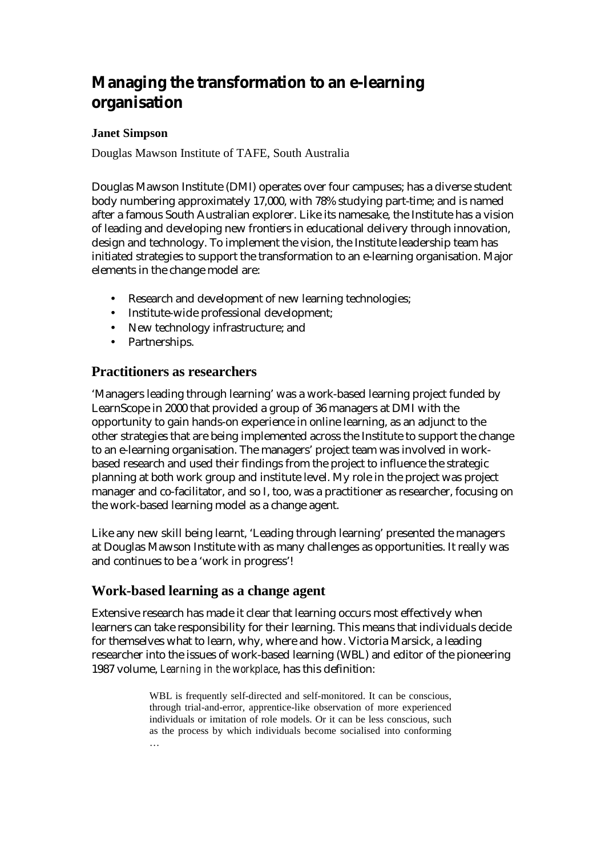# **Managing the transformation to an e-learning organisation**

# **Janet Simpson**

Douglas Mawson Institute of TAFE, South Australia

Douglas Mawson Institute (DMI) operates over four campuses; has a diverse student body numbering approximately 17,000, with 78% studying part-time; and is named after a famous South Australian explorer. Like its namesake, the Institute has a vision of leading and developing new frontiers in educational delivery through innovation, design and technology. To implement the vision, the Institute leadership team has initiated strategies to support the transformation to an e-learning organisation. Major elements in the change model are:

- Research and development of new learning technologies;
- Institute-wide professional development;
- New technology infrastructure; and
- Partnerships.

# **Practitioners as researchers**

'Managers leading through learning' was a work-based learning project funded by LearnScope in 2000 that provided a group of 36 managers at DMI with the opportunity to gain hands-on experience in online learning, as an adjunct to the other strategies that are being implemented across the Institute to support the change to an e-learning organisation. The managers' project team was involved in workbased research and used their findings from the project to influence the strategic planning at both work group and institute level. My role in the project was project manager and co-facilitator, and so I, too, was a practitioner as researcher, focusing on the work-based learning model as a change agent.

Like any new skill being learnt, 'Leading through learning' presented the managers at Douglas Mawson Institute with as many challenges as opportunities. It really was and continues to be a 'work in progress'!

# **Work-based learning as a change agent**

Extensive research has made it clear that learning occurs most effectively when learners can take responsibility for their learning. This means that individuals decide for themselves what to learn, why, where and how. Victoria Marsick, a leading researcher into the issues of work-based learning (WBL) and editor of the pioneering 1987 volume, *Learning in the workplace*, has this definition:

> WBL is frequently self-directed and self-monitored. It can be conscious, through trial-and-error, apprentice-like observation of more experienced individuals or imitation of role models. Or it can be less conscious, such as the process by which individuals become socialised into conforming …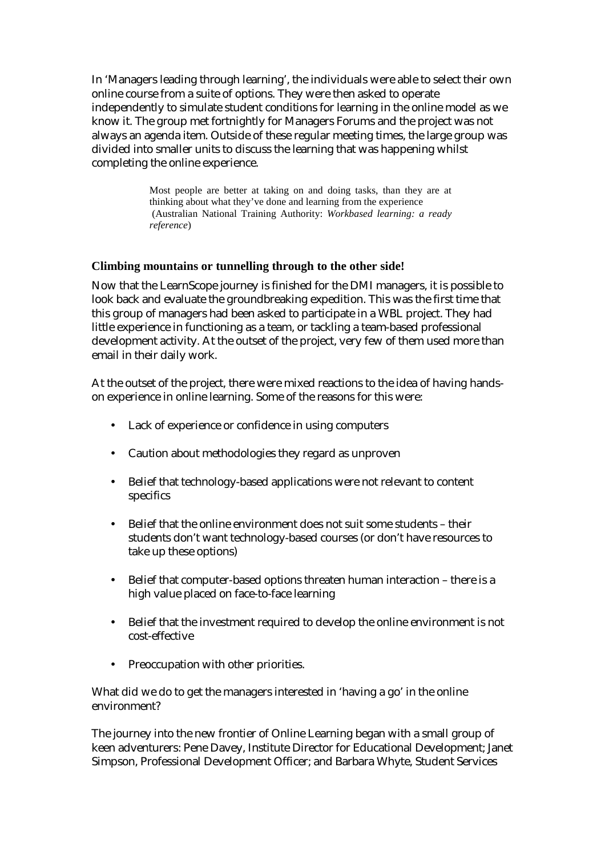In 'Managers leading through learning', the individuals were able to select their own online course from a suite of options. They were then asked to operate independently to simulate student conditions for learning in the online model as we know it. The group met fortnightly for Managers Forums and the project was not always an agenda item. Outside of these regular meeting times, the large group was divided into smaller units to discuss the learning that was happening whilst completing the online experience.

> Most people are better at taking on and doing tasks, than they are at thinking about what they've done and learning from the experience (Australian National Training Authority: *Workbased learning: a ready reference*)

#### **Climbing mountains or tunnelling through to the other side!**

Now that the LearnScope journey is finished for the DMI managers, it is possible to look back and evaluate the groundbreaking expedition. This was the first time that this group of managers had been asked to participate in a WBL project. They had little experience in functioning as a team, or tackling a team-based professional development activity. At the outset of the project, very few of them used more than email in their daily work.

At the outset of the project, there were mixed reactions to the idea of having handson experience in online learning. Some of the reasons for this were:

- Lack of experience or confidence in using computers
- Caution about methodologies they regard as unproven
- Belief that technology-based applications were not relevant to content specifics
- Belief that the online environment does not suit some students their students don't want technology-based courses (or don't have resources to take up these options)
- Belief that computer-based options threaten human interaction there is a high value placed on face-to-face learning
- Belief that the investment required to develop the online environment is not cost-effective
- Preoccupation with other priorities.

What did we do to get the managers interested in 'having a go' in the online environment?

The journey into the new frontier of Online Learning began with a small group of keen adventurers: Pene Davey, Institute Director for Educational Development; Janet Simpson, Professional Development Officer; and Barbara Whyte, Student Services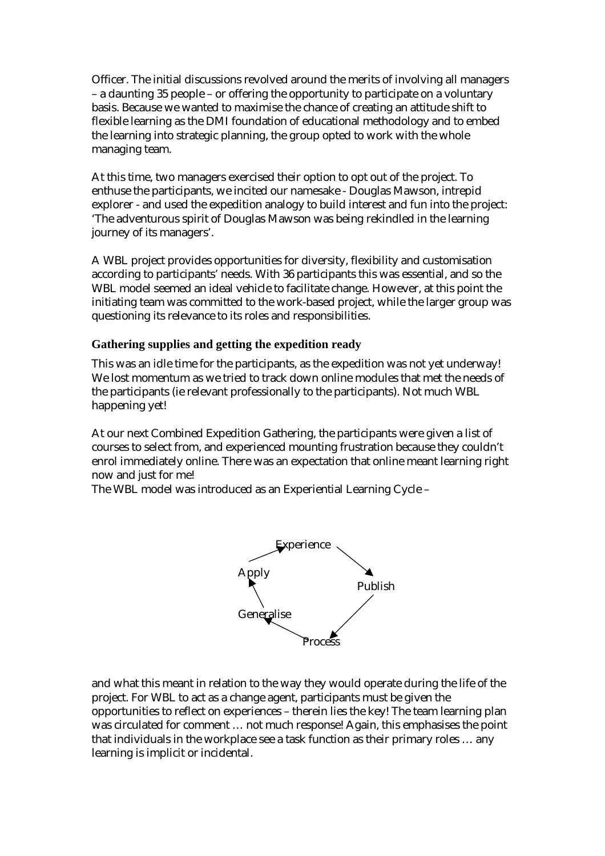Officer. The initial discussions revolved around the merits of involving all managers – a daunting 35 people – or offering the opportunity to participate on a voluntary basis. Because we wanted to maximise the chance of creating an attitude shift to flexible learning as the DMI foundation of educational methodology and to embed the learning into strategic planning, the group opted to work with the whole managing team.

At this time, two managers exercised their option to opt out of the project. To enthuse the participants, we incited our namesake - Douglas Mawson, intrepid explorer - and used the expedition analogy to build interest and fun into the project: 'The adventurous spirit of Douglas Mawson was being rekindled in the learning journey of its managers'.

A WBL project provides opportunities for diversity, flexibility and customisation according to participants' needs. With 36 participants this was essential, and so the WBL model seemed an ideal vehicle to facilitate change. However, at this point the initiating team was committed to the work-based project, while the larger group was questioning its relevance to its roles and responsibilities.

# **Gathering supplies and getting the expedition ready**

This was an idle time for the participants, as the expedition was not yet underway! We lost momentum as we tried to track down online modules that met the needs of the participants (ie relevant professionally to the participants). Not much WBL happening yet!

At our next Combined Expedition Gathering, the participants were given a list of courses to select from, and experienced mounting frustration because they couldn't enrol immediately online. There was an expectation that online meant learning right now and just for me!

The WBL model was introduced as an Experiential Learning Cycle –



and what this meant in relation to the way they would operate during the life of the project. For WBL to act as a change agent, participants must be given the opportunities to reflect on experiences – therein lies the key! The team learning plan was circulated for comment … not much response! Again, this emphasises the point that individuals in the workplace see a task function as their primary roles … any learning is implicit or incidental.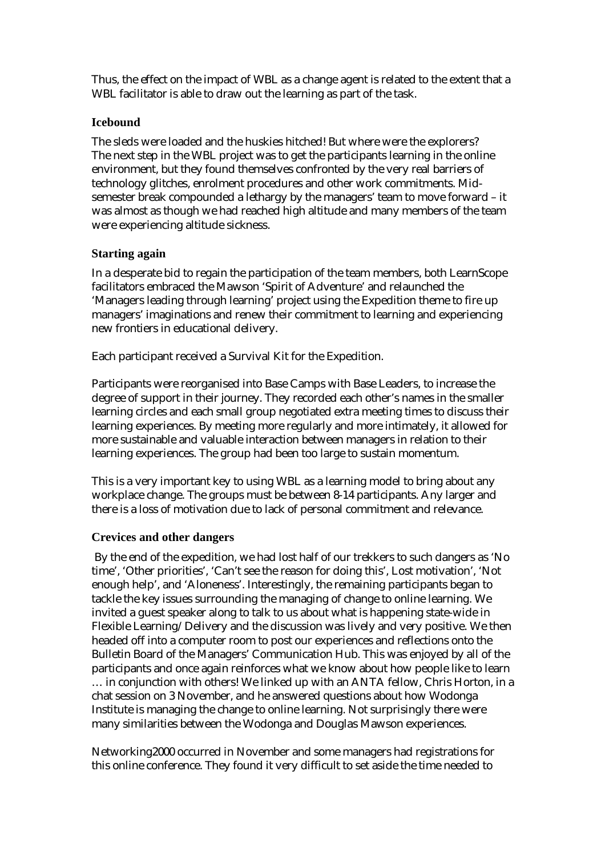Thus, the effect on the impact of WBL as a change agent is related to the extent that a WBL facilitator is able to draw out the learning as part of the task.

#### **Icebound**

The sleds were loaded and the huskies hitched! But where were the explorers? The next step in the WBL project was to get the participants learning in the online environment, but they found themselves confronted by the very real barriers of technology glitches, enrolment procedures and other work commitments. Midsemester break compounded a lethargy by the managers' team to move forward – it was almost as though we had reached high altitude and many members of the team were experiencing altitude sickness.

#### **Starting again**

In a desperate bid to regain the participation of the team members, both LearnScope facilitators embraced the Mawson 'Spirit of Adventure' and relaunched the 'Managers leading through learning' project using the Expedition theme to fire up managers' imaginations and renew their commitment to learning and experiencing new frontiers in educational delivery.

Each participant received a Survival Kit for the Expedition.

Participants were reorganised into Base Camps with Base Leaders, to increase the degree of support in their journey. They recorded each other's names in the smaller learning circles and each small group negotiated extra meeting times to discuss their learning experiences. By meeting more regularly and more intimately, it allowed for more sustainable and valuable interaction between managers in relation to their learning experiences. The group had been too large to sustain momentum.

This is a very important key to using WBL as a learning model to bring about any workplace change. The groups must be between 8-14 participants. Any larger and there is a loss of motivation due to lack of personal commitment and relevance.

# **Crevices and other dangers**

 By the end of the expedition, we had lost half of our trekkers to such dangers as 'No time', 'Other priorities', 'Can't see the reason for doing this', Lost motivation', 'Not enough help', and 'Aloneness'. Interestingly, the remaining participants began to tackle the key issues surrounding the managing of change to online learning. We invited a guest speaker along to talk to us about what is happening state-wide in Flexible Learning/Delivery and the discussion was lively and very positive. We then headed off into a computer room to post our experiences and reflections onto the Bulletin Board of the Managers' Communication Hub. This was enjoyed by all of the participants and once again reinforces what we know about how people like to learn … in conjunction with others! We linked up with an ANTA fellow, Chris Horton, in a chat session on 3 November, and he answered questions about how Wodonga Institute is managing the change to online learning. Not surprisingly there were many similarities between the Wodonga and Douglas Mawson experiences.

Networking2000 occurred in November and some managers had registrations for this online conference. They found it very difficult to set aside the time needed to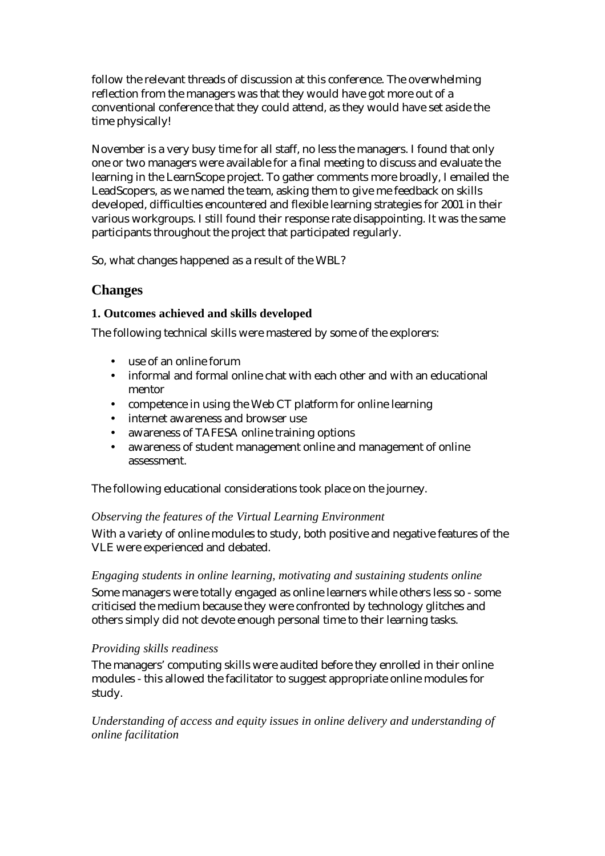follow the relevant threads of discussion at this conference. The overwhelming reflection from the managers was that they would have got more out of a conventional conference that they could attend, as they would have set aside the time physically!

November is a very busy time for all staff, no less the managers. I found that only one or two managers were available for a final meeting to discuss and evaluate the learning in the LearnScope project. To gather comments more broadly, I emailed the LeadScopers, as we named the team, asking them to give me feedback on skills developed, difficulties encountered and flexible learning strategies for 2001 in their various workgroups. I still found their response rate disappointing. It was the same participants throughout the project that participated regularly.

So, what changes happened as a result of the WBL?

# **Changes**

# **1. Outcomes achieved and skills developed**

The following technical skills were mastered by some of the explorers:

- use of an online forum
- informal and formal online chat with each other and with an educational mentor
- competence in using the Web CT platform for online learning
- internet awareness and browser use
- awareness of TAFESA online training options
- awareness of student management online and management of online assessment.

The following educational considerations took place on the journey.

# *Observing the features of the Virtual Learning Environment*

With a variety of online modules to study, both positive and negative features of the VLE were experienced and debated.

# *Engaging students in online learning, motivating and sustaining students online*

Some managers were totally engaged as online learners while others less so - some criticised the medium because they were confronted by technology glitches and others simply did not devote enough personal time to their learning tasks.

# *Providing skills readiness*

The managers' computing skills were audited before they enrolled in their online modules - this allowed the facilitator to suggest appropriate online modules for study.

*Understanding of access and equity issues in online delivery and understanding of online facilitation*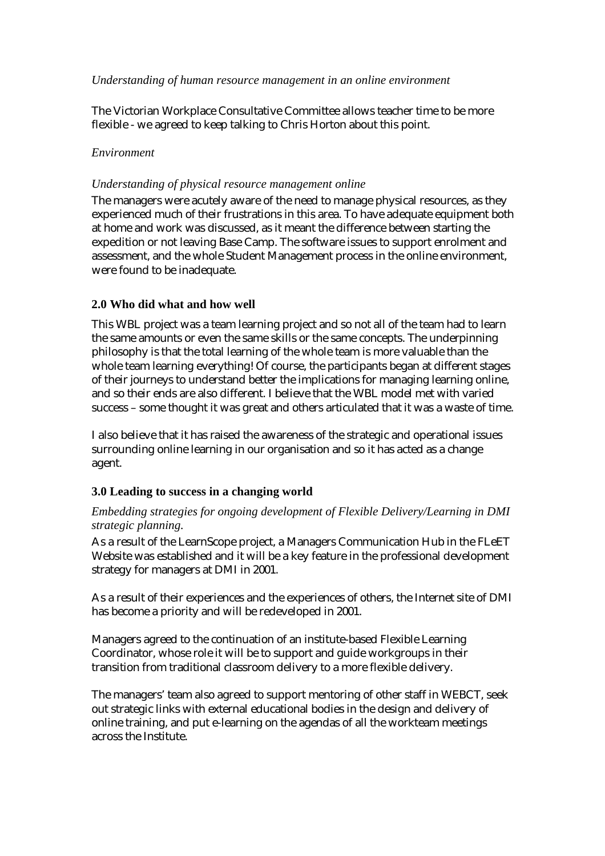#### *Understanding of human resource management in an online environment*

The Victorian Workplace Consultative Committee allows teacher time to be more flexible - we agreed to keep talking to Chris Horton about this point.

#### *Environment*

#### *Understanding of physical resource management online*

The managers were acutely aware of the need to manage physical resources, as they experienced much of their frustrations in this area. To have adequate equipment both at home and work was discussed, as it meant the difference between starting the expedition or not leaving Base Camp. The software issues to support enrolment and assessment, and the whole Student Management process in the online environment, were found to be inadequate.

#### **2.0 Who did what and how well**

This WBL project was a team learning project and so not all of the team had to learn the same amounts or even the same skills or the same concepts. The underpinning philosophy is that the total learning of the whole team is more valuable than the whole team learning everything! Of course, the participants began at different stages of their journeys to understand better the implications for managing learning online, and so their ends are also different. I believe that the WBL model met with varied success – some thought it was great and others articulated that it was a waste of time.

I also believe that it has raised the awareness of the strategic and operational issues surrounding online learning in our organisation and so it has acted as a change agent.

#### **3.0 Leading to success in a changing world**

#### *Embedding strategies for ongoing development of Flexible Delivery/Learning in DMI strategic planning.*

As a result of the LearnScope project, a Managers Communication Hub in the FLeET Website was established and it will be a key feature in the professional development strategy for managers at DMI in 2001.

As a result of their experiences and the experiences of others, the Internet site of DMI has become a priority and will be redeveloped in 2001.

Managers agreed to the continuation of an institute-based Flexible Learning Coordinator, whose role it will be to support and guide workgroups in their transition from traditional classroom delivery to a more flexible delivery.

The managers' team also agreed to support mentoring of other staff in WEBCT, seek out strategic links with external educational bodies in the design and delivery of online training, and put e-learning on the agendas of all the workteam meetings across the Institute.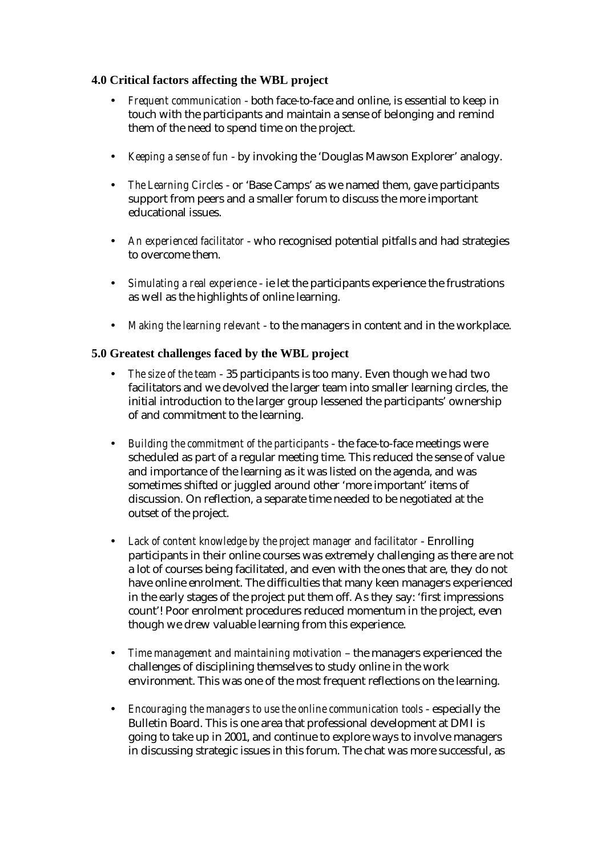# **4.0 Critical factors affecting the WBL project**

- *Frequent communication* both face-to-face and online, is essential to keep in touch with the participants and maintain a sense of belonging and remind them of the need to spend time on the project.
- *Keeping a sense of fun* by invoking the 'Douglas Mawson Explorer' analogy.
- *The Learning Circles* or 'Base Camps' as we named them, gave participants support from peers and a smaller forum to discuss the more important educational issues.
- *An experienced facilitator* who recognised potential pitfalls and had strategies to overcome them.
- *Simulating a real experience* ie let the participants experience the frustrations as well as the highlights of online learning.
- *Making the learning relevant* to the managers in content and in the workplace.

# **5.0 Greatest challenges faced by the WBL project**

- *The size of the team*  35 participants is too many. Even though we had two facilitators and we devolved the larger team into smaller learning circles, the initial introduction to the larger group lessened the participants' ownership of and commitment to the learning.
- *Building the commitment of the participants* the face-to-face meetings were scheduled as part of a regular meeting time. This reduced the sense of value and importance of the learning as it was listed on the agenda, and was sometimes shifted or juggled around other 'more important' items of discussion. On reflection, a separate time needed to be negotiated at the outset of the project.
- *Lack of content knowledge by the project manager and facilitator* Enrolling participants in their online courses was extremely challenging as there are not a lot of courses being facilitated, and even with the ones that are, they do not have online enrolment. The difficulties that many keen managers experienced in the early stages of the project put them off. As they say: 'first impressions count'! Poor enrolment procedures reduced momentum in the project, even though we drew valuable learning from this experience.
- *Time management and maintaining motivation* the managers experienced the challenges of disciplining themselves to study online in the work environment. This was one of the most frequent reflections on the learning.
- *Encouraging the managers to use the online communication tools* especially the Bulletin Board. This is one area that professional development at DMI is going to take up in 2001, and continue to explore ways to involve managers in discussing strategic issues in this forum. The chat was more successful, as